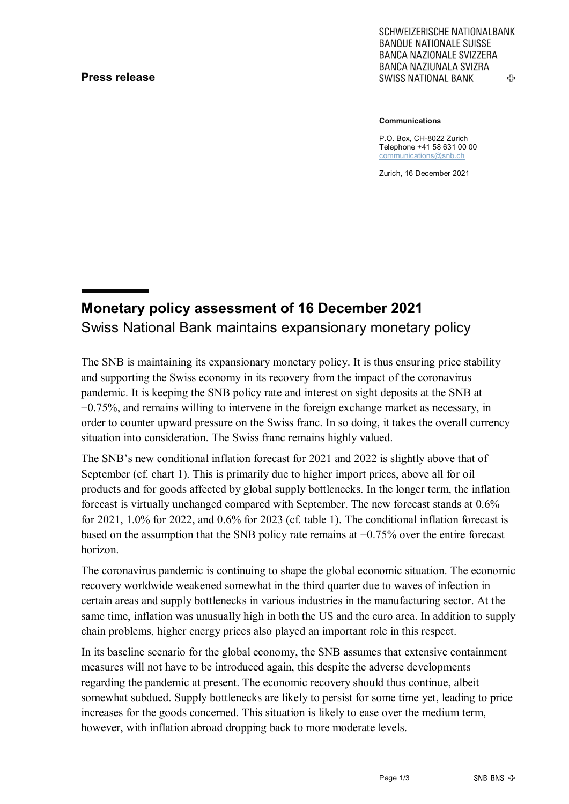## **Press release**

SCHWEIZERISCHE NATIONALBANK **BANQUE NATIONALE SUISSE BANCA NAZIONALE SVIZZERA** BANCA NAZIUNALA SVIZRA ሩን **SWISS NATIONAL BANK** 

**Communications**

P.O. Box, CH-8022 Zurich Telephone +41 58 631 00 00 [communications@snb.ch](mailto:communications@snb.ch)

Zurich, 16 December 2021

# **Monetary policy assessment of 16 December 2021** Swiss National Bank maintains expansionary monetary policy

The SNB is maintaining its expansionary monetary policy. It is thus ensuring price stability and supporting the Swiss economy in its recovery from the impact of the coronavirus pandemic. It is keeping the SNB policy rate and interest on sight deposits at the SNB at −0.75%, and remains willing to intervene in the foreign exchange market as necessary, in order to counter upward pressure on the Swiss franc. In so doing, it takes the overall currency situation into consideration. The Swiss franc remains highly valued.

The SNB's new conditional inflation forecast for 2021 and 2022 is slightly above that of September (cf. chart 1). This is primarily due to higher import prices, above all for oil products and for goods affected by global supply bottlenecks. In the longer term, the inflation forecast is virtually unchanged compared with September. The new forecast stands at 0.6% for 2021, 1.0% for 2022, and 0.6% for 2023 (cf. table 1). The conditional inflation forecast is based on the assumption that the SNB policy rate remains at −0.75% over the entire forecast horizon.

The coronavirus pandemic is continuing to shape the global economic situation. The economic recovery worldwide weakened somewhat in the third quarter due to waves of infection in certain areas and supply bottlenecks in various industries in the manufacturing sector. At the same time, inflation was unusually high in both the US and the euro area. In addition to supply chain problems, higher energy prices also played an important role in this respect.

In its baseline scenario for the global economy, the SNB assumes that extensive containment measures will not have to be introduced again, this despite the adverse developments regarding the pandemic at present. The economic recovery should thus continue, albeit somewhat subdued. Supply bottlenecks are likely to persist for some time yet, leading to price increases for the goods concerned. This situation is likely to ease over the medium term, however, with inflation abroad dropping back to more moderate levels.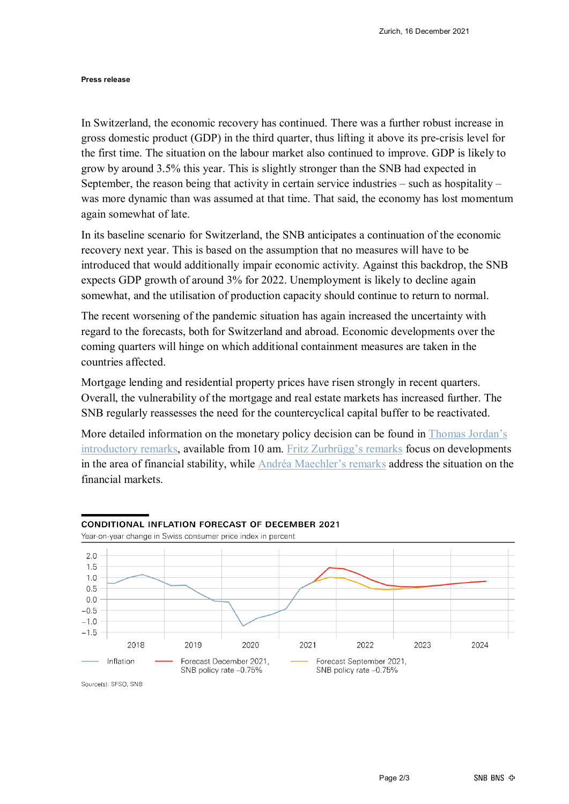**Press release**

In Switzerland, the economic recovery has continued. There was a further robust increase in gross domestic product (GDP) in the third quarter, thus lifting it above its pre-crisis level for the first time. The situation on the labour market also continued to improve. GDP is likely to grow by around 3.5% this year. This is slightly stronger than the SNB had expected in September, the reason being that activity in certain service industries  $-$  such as hospitality  $$ was more dynamic than was assumed at that time. That said, the economy has lost momentum again somewhat of late.

In its baseline scenario for Switzerland, the SNB anticipates a continuation of the economic recovery next year. This is based on the assumption that no measures will have to be introduced that would additionally impair economic activity. Against this backdrop, the SNB expects GDP growth of around 3% for 2022. Unemployment is likely to decline again somewhat, and the utilisation of production capacity should continue to return to normal.

The recent worsening of the pandemic situation has again increased the uncertainty with regard to the forecasts, both for Switzerland and abroad. Economic developments over the coming quarters will hinge on which additional containment measures are taken in the countries affected.

Mortgage lending and residential property prices have risen strongly in recent quarters. Overall, the vulnerability of the mortgage and real estate markets has increased further. The SNB regularly reassesses the need for the countercyclical capital buffer to be reactivated.

More detailed information on the monetary policy decision can be found in Thomas Jordan's [introductory remarks,](https://www.snb.ch/en/mmr/speeches/id/ref_20211216_tjn) available from 10 am. [Fritz Zurbrügg's remarks](https://www.snb.ch/en/mmr/speeches/id/ref_20211216_zur) focus on developments in the area of financial stability, while [Andréa Maechler's remarks](https://www.snb.ch/en/mmr/speeches/id/ref_20211216_amr) address the situation on the financial markets.



## **CONDITIONAL INFLATION FORECAST OF DECEMBER 2021**

Source(s): SFSO, SNB